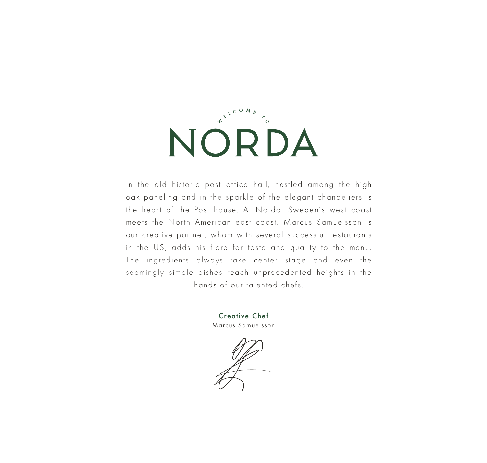

In the old historic post office hall, nestled among the high oak paneling and in the sparkle of the elegant chandeliers is the heart of the Post house. At Norda, Sweden's west coast meets the North American east coast. Marcus Samuelsson is our creative partner, whom with several successful restaurants in the US, adds his flare for taste and quality to the menu. The ingredients always take center stage and even the seemingly simple dishes reach unprecedented heights in the hands of our talented chefs.

> Creative Chef Marcus Samuelsson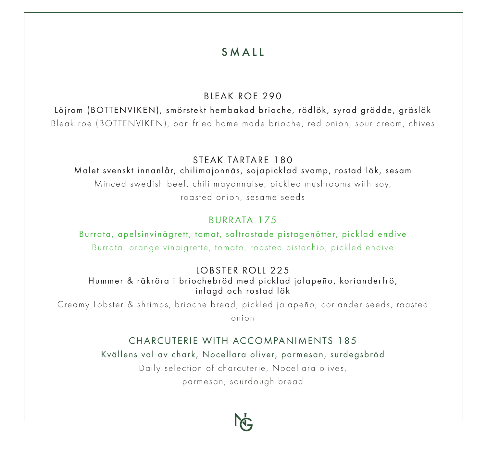## SMALL

## BLEAK ROE 290

Löjrom (BOTTENVIKEN), smörstekt hembakad brioche, rödlök, syrad grädde, gräslök Bleak roe (BOTTENVIKEN), pan fried home made brioche, red onion, sour cream, chives

### STEAK TARTARE 180

### Malet svenskt innanlår, chilimajonnäs, sojapicklad svamp, rostad lök, sesam

Minced swedish beef, chili mayonnaise, pickled mushrooms with soy, roasted onion, sesame seeds

## BURRATA 175

Burrata, apelsinvinägrett, tomat, saltrostade pistagenötter, picklad endive Burrata, orange vinaigrette, tomato, roasted pistachio, pickled endive

#### LOBSTER ROLL 225 Hummer & räkröra i briochebröd med picklad jalapeño, korianderfrö, inlagd och rostad lök

Creamy Lobster & shrimps, brioche bread, pickled jalapeño, coriander seeds, roasted

onion

## CHARCUTERIE WITH ACCOMPANIMENTS 185

Kvällens val av chark, Nocellara oliver, parmesan, surdegsbröd

Daily selection of charcuterie, Nocellara olives,

parmesan, sourdough bread

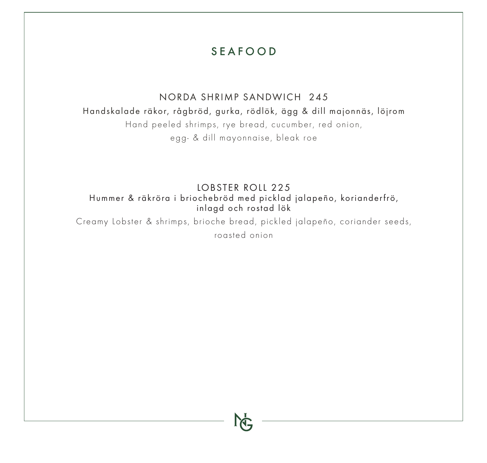## SEAFOOD

### NORDA SHRIMP SANDWICH 245

Handskalade räkor, rågbröd, gurka, rödlök, ägg & dill majonnäs, löjrom

Hand peeled shrimps, rye bread, cucumber, red onion, egg- & dill mayonnaise, bleak roe

#### LOBSTER ROLL 225 Hummer & räkröra i briochebröd med picklad jalapeño, korianderfrö, inlagd och rostad lök

Creamy Lobster & shrimps, brioche bread, pickled jalapeño, coriander seeds, roasted onion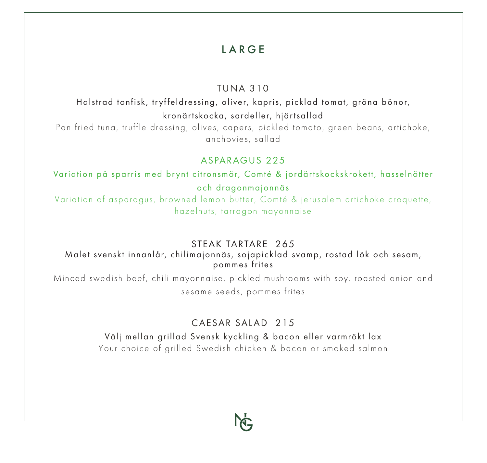# LARGE

### TUNA 310

#### Halstrad tonfisk, tryffeldressing, oliver, kapris, picklad tomat, gröna bönor, kronärtskocka, sardeller, hjärtsallad

Pan fried tuna, truffle dressing, olives, capers, pickled tomato, green beans, artichoke, anchovies, sallad

#### ASPARAGUS 225

Variation på sparris med brynt citronsmör, Comté & jordärtskockskrokett, hasselnötter och dragonmajonnäs

Variation of asparagus, browned lemon butter, Comté & jerusalem artichoke croquette, hazelnuts, tarragon mayonnaise

#### STEAK TARTARE 265

Malet svenskt innanlår, chilimajonnäs, sojapicklad svamp, rostad lök och sesam, pommes frites

Minced swedish beef, chili mayonnaise, pickled mushrooms with soy, roasted onion and sesame seeds, pommes frites

## CAESAR SALAD 215

Välj mellan grillad Svensk kyckling & bacon eller varmrökt lax Your choice of grilled Swedish chicken & bacon or smoked salmon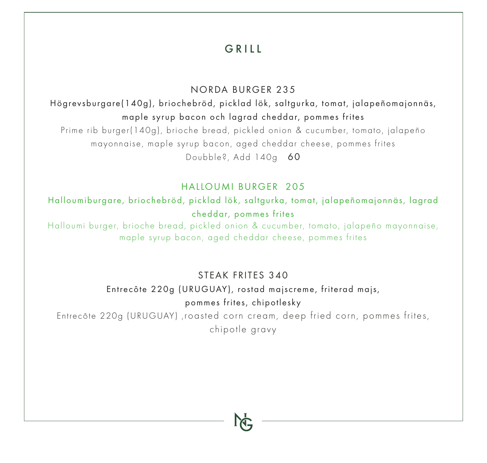# GRILL

## NORDA BURGER 235

Högrevsburgare(140g), briochebröd, picklad lök, saltgurka, tomat, jalapeñomajonnäs, maple syrup bacon och lagrad cheddar, pommes frites

Prime rib burger(140g), brioche bread, pickled onion & cucumber, tomato, jalapeño mayonnaise, maple syrup bacon, aged cheddar cheese, pommes frites Doubble?, Add 140g 60

#### HALLOUMI BURGER 205

Halloumiburgare, briochebröd, picklad lök, saltgurka, tomat, jalapeñomajonnäs, lagrad cheddar, pommes frites

Halloumi burger, brioche bread, pickled onion & cucumber, tomato, jalapeño mayonnaise, maple syrup bacon, aged cheddar cheese, pommes frites

## STEAK FRITES 340

Entrecôte 220g (URUGUAY), rostad majscreme, friterad majs, pommes frites, chipotlesky

Entrecôte 220g (URUGUAY) ,roasted corn cream, deep fried corn, pommes frites, chipotle gravy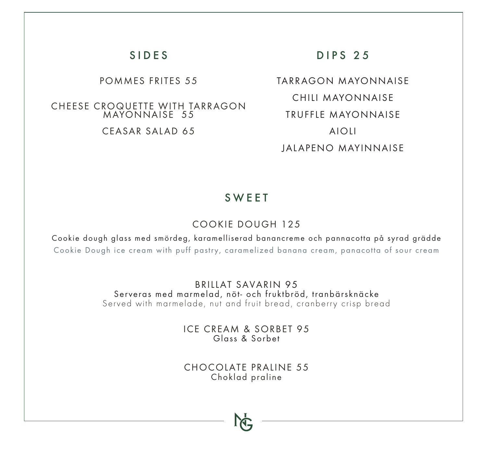## SIDES

POMMES FRITES 55

CHEESE CROQUETTE WITH TARR AGON MAYONNAISE 55

CEASAR SALAD 65

TARR AGON MAYONNAISE CHILI MAYONNAISE TRUFFLE MAYONNAISE AIOLI JALAPENO MAYINNAISE

DIPS 25

# SWEET

## COOKIE DOUGH 125

Cookie dough glass med smördeg, karamelliserad banancreme och pannacotta på syrad grädde Cookie Dough ice cream with puff pastry, caramelized banana cream, panacotta of sour cream

> BRILLAT SAVARIN 95 Serveras med marmelad, nöt- och fruktbröd, tranbärsknäcke Served with marmelade, nut and fruit bread, cranberry crisp bread

> > ICE CREAM & SORBET 95 Glass & Sorbet

> > CHOCOLATE PRALINE 55 Choklad praline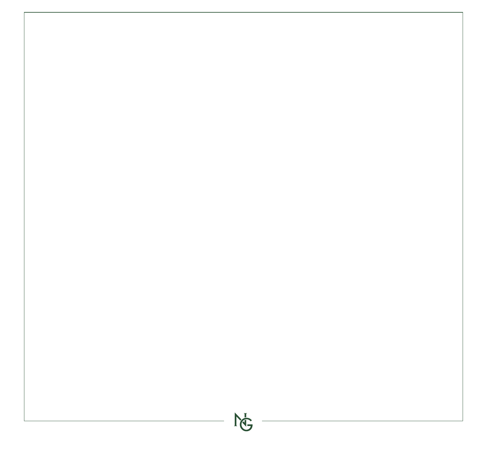